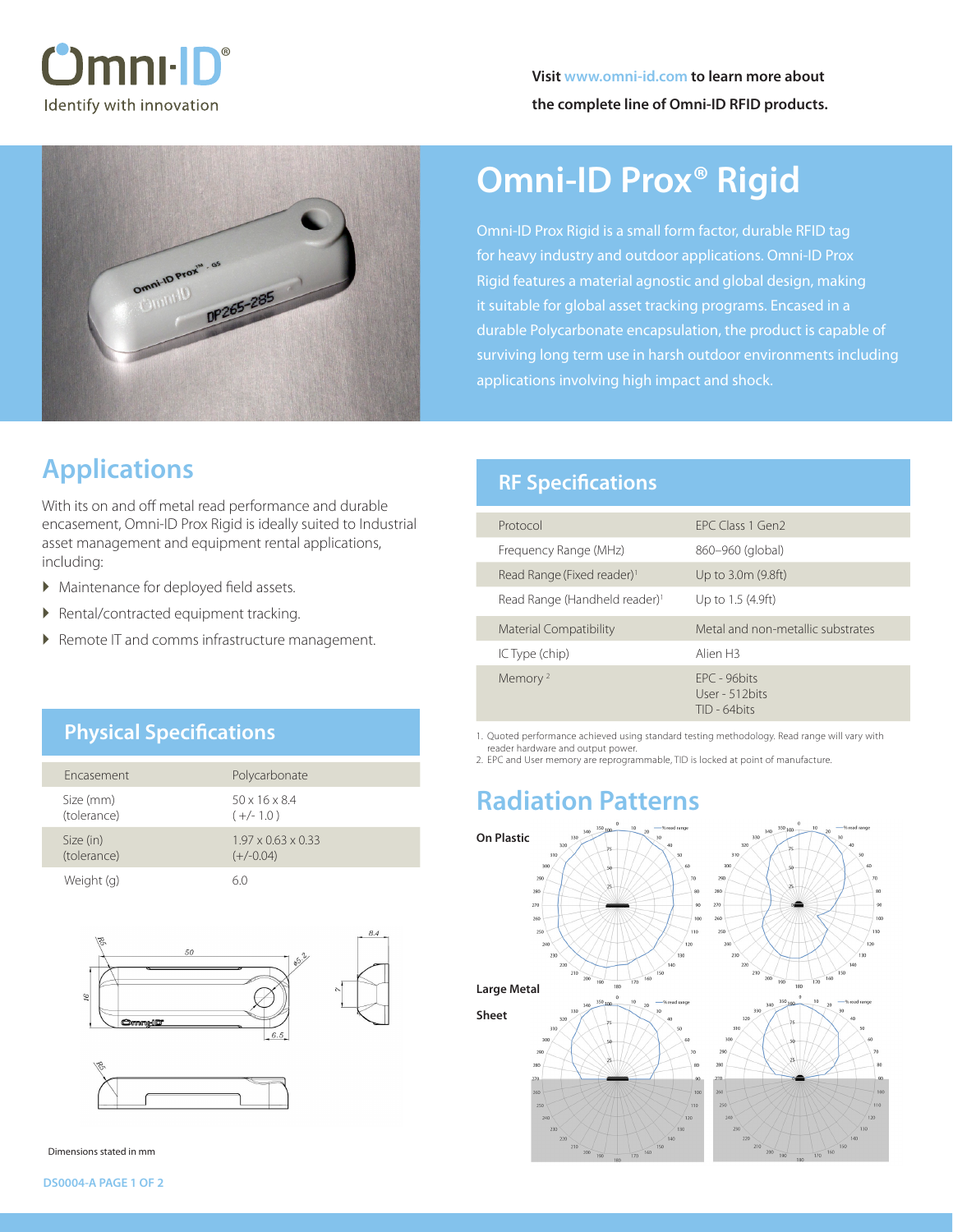



# **Omni-ID Prox® Rigid**

Omni-ID Prox Rigid is a small form factor, durable RFID tag for heavy industry and outdoor applications. Omni-ID Prox Rigid features a material agnostic and global design, making it suitable for global asset tracking programs. Encased in a durable Polycarbonate encapsulation, the product is capable of surviving long term use in harsh outdoor environments including applications involving high impact and shock.

## **Applications**

With its on and off metal read performance and durable encasement, Omni-ID Prox Rigid is ideally suited to Industrial asset management and equipment rental applications, including:

- � Maintenance for deployed field assets.
- � Rental/contracted equipment tracking.
- ▶ Remote IT and comms infrastructure management.

### **RF Specifications**

| Protocol                                  | FPC Class 1 Gen2                                     |
|-------------------------------------------|------------------------------------------------------|
| Frequency Range (MHz)                     | 860–960 (global)                                     |
| Read Range (Fixed reader) <sup>1</sup>    | Up to 3.0m (9.8ft)                                   |
| Read Range (Handheld reader) <sup>1</sup> | Up to 1.5 (4.9ft)                                    |
| <b>Material Compatibility</b>             | Metal and non-metallic substrates                    |
| IC Type (chip)                            | Alien <sub>H3</sub>                                  |
| Memory <sup>2</sup>                       | $FPC - 96$ hits<br>User - 512 bits<br>$TID - 64bits$ |

1. Quoted performance achieved using standard testing methodology. Read range will vary with reader hardware and output power.

2. EPC and User memory are reprogrammable, TID is locked at point of manufacture.

## **Radiation Patterns**



### **Physical Specifications**

| <b>Fncasement</b>        | Polycarbonate                                 |
|--------------------------|-----------------------------------------------|
| Size (mm)<br>(tolerance) | $50 \times 16 \times 8.4$<br>$(+/- 1.0)$      |
| Size (in)<br>(tolerance) | $1.97 \times 0.63 \times 0.33$<br>$(+/-0.04)$ |
| Weight (g)               |                                               |



Dimensions stated in mm